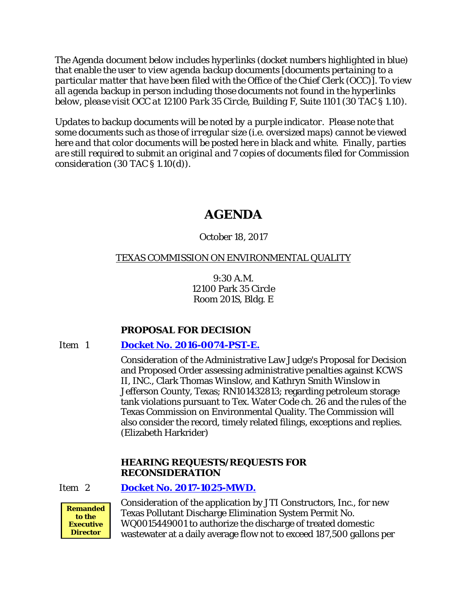*The Agenda document below includes hyperlinks (docket numbers highlighted in blue) that enable the user to view agenda backup documents [documents pertaining to a particular matter that have been filed with the Office of the Chief Clerk (OCC)]. To view all agenda backup in person including those documents not found in the hyperlinks below, please visit OCC at 12100 Park 35 Circle, Building F, Suite 1101 (30 TAC § 1.10).*

*Updates to backup documents will be noted by a purple indicator. Please note that some documents such as those of irregular size (i.e. oversized maps) cannot be viewed here and that color documents will be posted here in black and white. Finally, parties are still required to submit an original and 7 copies of documents filed for Commission consideration (30 TAC § 1.10(d)).*

# **AGENDA**

# October 18, 2017

# TEXAS COMMISSION ON ENVIRONMENTAL QUALITY

9:30 A.M. 12100 Park 35 Circle Room 201S, Bldg. E

# **PROPOSAL FOR DECISION**

# Item 1 **[Docket No. 2016-0074-PST-E.](http://www.tceq.texas.gov/assets/public/comm_exec/agendas/comm/backup/Agendas/2017/10-18-2017/kcws.pdf)**

Consideration of the Administrative Law Judge's Proposal for Decision and Proposed Order assessing administrative penalties against KCWS II, INC., Clark Thomas Winslow, and Kathryn Smith Winslow in Jefferson County, Texas; RN101432813; regarding petroleum storage tank violations pursuant to Tex. Water Code ch. 26 and the rules of the Texas Commission on Environmental Quality. The Commission will also consider the record, timely related filings, exceptions and replies. (Elizabeth Harkrider)

# **HEARING REQUESTS/REQUESTS FOR RECONSIDERATION**

Item 2 **Docket No. [2017-1025-MWD.](http://www.tceq.texas.gov/assets/public/comm_exec/agendas/comm/backup/Agendas/2017/10-18-2017/jti.pdf)**



Consideration of the application by JTI Constructors, Inc., for new Texas Pollutant Discharge Elimination System Permit No. WQ0015449001 to authorize the discharge of treated domestic wastewater at a daily average flow not to exceed 187,500 gallons per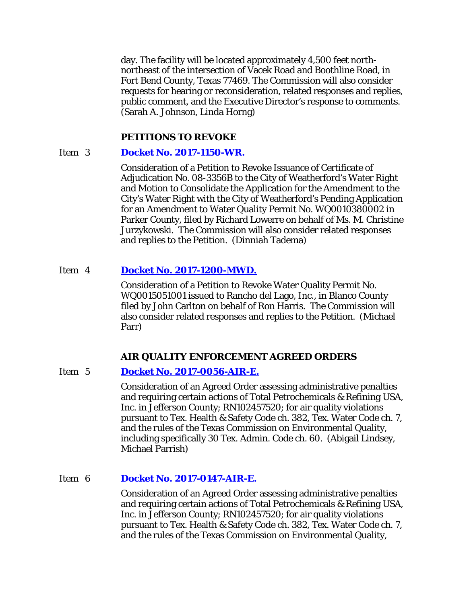day. The facility will be located approximately 4,500 feet northnortheast of the intersection of Vacek Road and Boothline Road, in Fort Bend County, Texas 77469. The Commission will also consider requests for hearing or reconsideration, related responses and replies, public comment, and the Executive Director's response to comments. (Sarah A. Johnson, Linda Horng)

### **PETITIONS TO REVOKE**

# Item 3 **[Docket No. 2017-1150-WR.](http://www.tceq.texas.gov/assets/public/comm_exec/agendas/comm/backup/Agendas/2017/10-18-2017/weatherfordpet.pdf)**

Consideration of a Petition to Revoke Issuance of Certificate of Adjudication No. 08-3356B to the City of Weatherford's Water Right and Motion to Consolidate the Application for the Amendment to the City's Water Right with the City of Weatherford's Pending Application for an Amendment to Water Quality Permit No. WQ0010380002 in Parker County, filed by Richard Lowerre on behalf of Ms. M. Christine Jurzykowski. The Commission will also consider related responses and replies to the Petition. (Dinniah Tadema)

### Item 4 **[Docket No. 2017-1200-MWD.](http://www.tceq.texas.gov/assets/public/comm_exec/agendas/comm/backup/Agendas/2017/10-18-2017/rancho.pdf)**

Consideration of a Petition to Revoke Water Quality Permit No. WQ0015051001 issued to Rancho del Lago, Inc., in Blanco County filed by John Carlton on behalf of Ron Harris. The Commission will also consider related responses and replies to the Petition. (Michael Parr)

### **AIR QUALITY ENFORCEMENT AGREED ORDERS**

### Item 5 **[Docket No. 2017-0056-AIR-E.](http://www.tceq.texas.gov/assets/public/comm_exec/agendas/comm/backup/Agendas/2017/10-18-2017/0056AIR.pdf)**

Consideration of an Agreed Order assessing administrative penalties and requiring certain actions of Total Petrochemicals & Refining USA, Inc. in Jefferson County; RN102457520; for air quality violations pursuant to Tex. Health & Safety Code ch. 382, Tex. Water Code ch. 7, and the rules of the Texas Commission on Environmental Quality, including specifically 30 Tex. Admin. Code ch. 60. (Abigail Lindsey, Michael Parrish)

# Item 6 **[Docket No. 2017-0147-AIR-E.](http://www.tceq.texas.gov/assets/public/comm_exec/agendas/comm/backup/Agendas/2017/10-18-2017/0147AIR.pdf)**

Consideration of an Agreed Order assessing administrative penalties and requiring certain actions of Total Petrochemicals & Refining USA, Inc. in Jefferson County; RN102457520; for air quality violations pursuant to Tex. Health & Safety Code ch. 382, Tex. Water Code ch. 7, and the rules of the Texas Commission on Environmental Quality,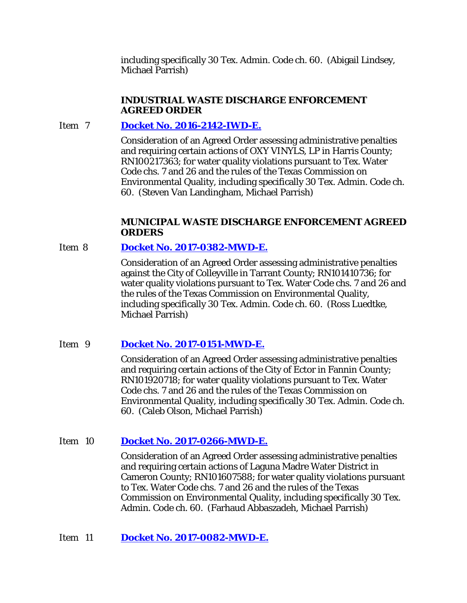including specifically 30 Tex. Admin. Code ch. 60. (Abigail Lindsey, Michael Parrish)

# **INDUSTRIAL WASTE DISCHARGE ENFORCEMENT AGREED ORDER**

# Item 7 **[Docket No. 2016-2142-IWD-E.](http://www.tceq.texas.gov/assets/public/comm_exec/agendas/comm/backup/Agendas/2017/10-18-2017/2142IWD.pdf)**

Consideration of an Agreed Order assessing administrative penalties and requiring certain actions of OXY VINYLS, LP in Harris County; RN100217363; for water quality violations pursuant to Tex. Water Code chs. 7 and 26 and the rules of the Texas Commission on Environmental Quality, including specifically 30 Tex. Admin. Code ch. 60. (Steven Van Landingham, Michael Parrish)

# **MUNICIPAL WASTE DISCHARGE ENFORCEMENT AGREED ORDERS**

# Item 8 **[Docket No. 2017-0382-MWD-E.](http://www.tceq.texas.gov/assets/public/comm_exec/agendas/comm/backup/Agendas/2017/10-18-2017/0382MWD.pdf)**

Consideration of an Agreed Order assessing administrative penalties against the City of Colleyville in Tarrant County; RN101410736; for water quality violations pursuant to Tex. Water Code chs. 7 and 26 and the rules of the Texas Commission on Environmental Quality, including specifically 30 Tex. Admin. Code ch. 60. (Ross Luedtke, Michael Parrish)

# Item 9 **[Docket No. 2017-0151-MWD-E.](http://www.tceq.texas.gov/assets/public/comm_exec/agendas/comm/backup/Agendas/2017/10-18-2017/0151MWD.pdf)**

Consideration of an Agreed Order assessing administrative penalties and requiring certain actions of the City of Ector in Fannin County; RN101920718; for water quality violations pursuant to Tex. Water Code chs. 7 and 26 and the rules of the Texas Commission on Environmental Quality, including specifically 30 Tex. Admin. Code ch. 60. (Caleb Olson, Michael Parrish)

# Item 10 **Docket No. [2017-0266-MWD-E.](http://www.tceq.texas.gov/assets/public/comm_exec/agendas/comm/backup/Agendas/2017/10-18-2017/0266MWD.pdf)**

Consideration of an Agreed Order assessing administrative penalties and requiring certain actions of Laguna Madre Water District in Cameron County; RN101607588; for water quality violations pursuant to Tex. Water Code chs. 7 and 26 and the rules of the Texas Commission on Environmental Quality, including specifically 30 Tex. Admin. Code ch. 60. (Farhaud Abbaszadeh, Michael Parrish)

Item 11 **[Docket No. 2017-0082-MWD-E.](http://www.tceq.texas.gov/assets/public/comm_exec/agendas/comm/backup/Agendas/2017/10-18-2017/0082MWD.pdf)**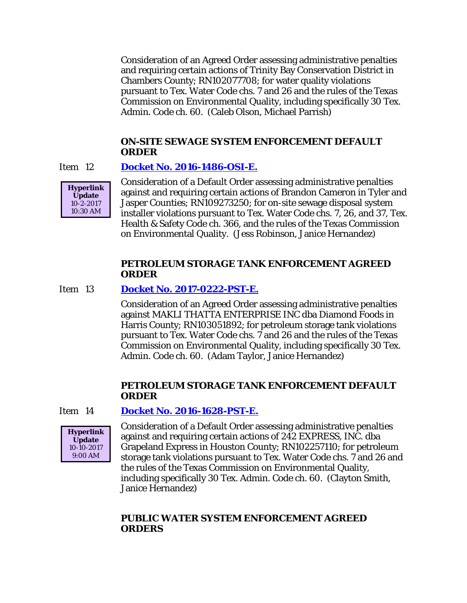Consideration of an Agreed Order assessing administrative penalties and requiring certain actions of Trinity Bay Conservation District in Chambers County; RN102077708; for water quality violations pursuant to Tex. Water Code chs. 7 and 26 and the rules of the Texas Commission on Environmental Quality, including specifically 30 Tex. Admin. Code ch. 60. (Caleb Olson, Michael Parrish)

### **ON-SITE SEWAGE SYSTEM ENFORCEMENT DEFAULT ORDER**

### Item 12 **[Docket No. 2016-1486-OSI-E.](http://www.tceq.texas.gov/assets/public/comm_exec/agendas/comm/backup/Agendas/2017/10-18-2017/1486OSI.pdf)**



Consideration of a Default Order assessing administrative penalties against and requiring certain actions of Brandon Cameron in Tyler and Jasper Counties; RN109273250; for on-site sewage disposal system installer violations pursuant to Tex. Water Code chs. 7, 26, and 37, Tex. Health & Safety Code ch. 366, and the rules of the Texas Commission on Environmental Quality. (Jess Robinson, Janice Hernandez)

### **PETROLEUM STORAGE TANK ENFORCEMENT AGREED ORDER**

### Item 13 **[Docket No. 2017-0222-PST-E.](http://www.tceq.texas.gov/assets/public/comm_exec/agendas/comm/backup/Agendas/2017/10-18-2017/0222PST.pdf)**

Consideration of an Agreed Order assessing administrative penalties against MAKLI THATTA ENTERPRISE INC dba Diamond Foods in Harris County; RN103051892; for petroleum storage tank violations pursuant to Tex. Water Code chs. 7 and 26 and the rules of the Texas Commission on Environmental Quality, including specifically 30 Tex. Admin. Code ch. 60. (Adam Taylor, Janice Hernandez)

# **PETROLEUM STORAGE TANK ENFORCEMENT DEFAULT ORDER**

### Item 14 **[Docket No. 2016-1628-PST-E.](http://www.tceq.texas.gov/assets/public/comm_exec/agendas/comm/backup/Agendas/2017/10-18-2017/1628PST.pdf)**



Consideration of a Default Order assessing administrative penalties against and requiring certain actions of 242 EXPRESS, INC. dba Grapeland Express in Houston County; RN102257110; for petroleum storage tank violations pursuant to Tex. Water Code chs. 7 and 26 and the rules of the Texas Commission on Environmental Quality, including specifically 30 Tex. Admin. Code ch. 60. (Clayton Smith, Janice Hernandez)

# **PUBLIC WATER SYSTEM ENFORCEMENT AGREED ORDERS**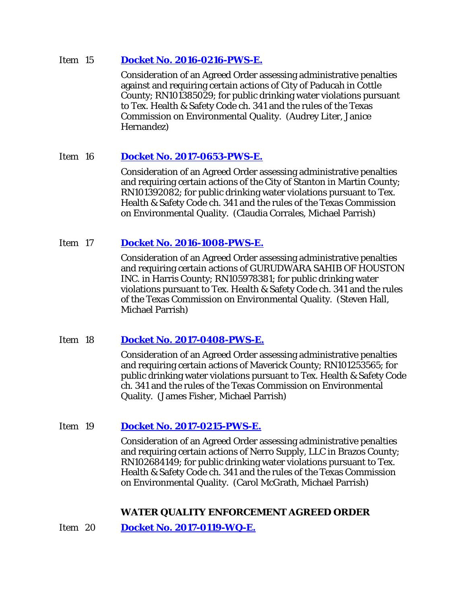### Item 15 **[Docket No. 2016-0216-PWS-E.](http://www.tceq.texas.gov/assets/public/comm_exec/agendas/comm/backup/Agendas/2017/10-18-2017/0216PWS.pdf)**

Consideration of an Agreed Order assessing administrative penalties against and requiring certain actions of City of Paducah in Cottle County; RN101385029; for public drinking water violations pursuant to Tex. Health & Safety Code ch. 341 and the rules of the Texas Commission on Environmental Quality. (Audrey Liter, Janice Hernandez)

# Item 16 **[Docket No. 2017-0653-PWS-E.](http://www.tceq.texas.gov/assets/public/comm_exec/agendas/comm/backup/Agendas/2017/10-18-2017/0653PWS.pdf)**

Consideration of an Agreed Order assessing administrative penalties and requiring certain actions of the City of Stanton in Martin County; RN101392082; for public drinking water violations pursuant to Tex. Health & Safety Code ch. 341 and the rules of the Texas Commission on Environmental Quality. (Claudia Corrales, Michael Parrish)

# Item 17 **Docket No. [2016-1008-PWS-E.](http://www.tceq.texas.gov/assets/public/comm_exec/agendas/comm/backup/Agendas/2017/10-18-2017/1008PWS.pdf)**

Consideration of an Agreed Order assessing administrative penalties and requiring certain actions of GURUDWARA SAHIB OF HOUSTON INC. in Harris County; RN105978381; for public drinking water violations pursuant to Tex. Health & Safety Code ch. 341 and the rules of the Texas Commission on Environmental Quality. (Steven Hall, Michael Parrish)

# Item 18 **[Docket No. 2017-0408-PWS-E.](http://www.tceq.texas.gov/assets/public/comm_exec/agendas/comm/backup/Agendas/2017/10-18-2017/0408PWS.pdf)**

Consideration of an Agreed Order assessing administrative penalties and requiring certain actions of Maverick County; RN101253565; for public drinking water violations pursuant to Tex. Health & Safety Code ch. 341 and the rules of the Texas Commission on Environmental Quality. (James Fisher, Michael Parrish)

# Item 19 **[Docket No. 2017-0215-PWS-E.](http://www.tceq.texas.gov/assets/public/comm_exec/agendas/comm/backup/Agendas/2017/10-18-2017/0215PWS.pdf)**

Consideration of an Agreed Order assessing administrative penalties and requiring certain actions of Nerro Supply, LLC in Brazos County; RN102684149; for public drinking water violations pursuant to Tex. Health & Safety Code ch. 341 and the rules of the Texas Commission on Environmental Quality. (Carol McGrath, Michael Parrish)

# **WATER QUALITY ENFORCEMENT AGREED ORDER**

Item 20 **[Docket No. 2017-0119-WQ-E.](http://www.tceq.texas.gov/assets/public/comm_exec/agendas/comm/backup/Agendas/2017/10-18-2017/0119WQ.pdf)**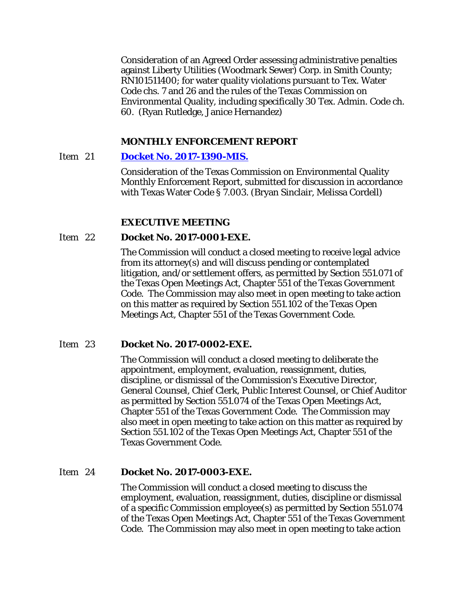Consideration of an Agreed Order assessing administrative penalties against Liberty Utilities (Woodmark Sewer) Corp. in Smith County; RN101511400; for water quality violations pursuant to Tex. Water Code chs. 7 and 26 and the rules of the Texas Commission on Environmental Quality, including specifically 30 Tex. Admin. Code ch. 60. (Ryan Rutledge, Janice Hernandez)

### **MONTHLY ENFORCEMENT REPORT**

### Item 21 **[Docket No. 2017-1390-MIS.](http://www.tceq.texas.gov/assets/public/comm_exec/agendas/comm/backup/Agendas/2017/10-18-2017/1390MIS.pdf)**

Consideration of the Texas Commission on Environmental Quality Monthly Enforcement Report, submitted for discussion in accordance with Texas Water Code § 7.003. (Bryan Sinclair, Melissa Cordell)

### **EXECUTIVE MEETING**

### Item 22 **Docket No. 2017-0001-EXE.**

The Commission will conduct a closed meeting to receive legal advice from its attorney(s) and will discuss pending or contemplated litigation, and/or settlement offers, as permitted by Section 551.071 of the Texas Open Meetings Act, Chapter 551 of the Texas Government Code. The Commission may also meet in open meeting to take action on this matter as required by Section 551.102 of the Texas Open Meetings Act, Chapter 551 of the Texas Government Code.

### Item 23 **Docket No. 2017-0002-EXE.**

The Commission will conduct a closed meeting to deliberate the appointment, employment, evaluation, reassignment, duties, discipline, or dismissal of the Commission's Executive Director, General Counsel, Chief Clerk, Public Interest Counsel, or Chief Auditor as permitted by Section 551.074 of the Texas Open Meetings Act, Chapter 551 of the Texas Government Code. The Commission may also meet in open meeting to take action on this matter as required by Section 551.102 of the Texas Open Meetings Act, Chapter 551 of the Texas Government Code.

### Item 24 **Docket No. 2017-0003-EXE.**

The Commission will conduct a closed meeting to discuss the employment, evaluation, reassignment, duties, discipline or dismissal of a specific Commission employee(s) as permitted by Section 551.074 of the Texas Open Meetings Act, Chapter 551 of the Texas Government Code. The Commission may also meet in open meeting to take action